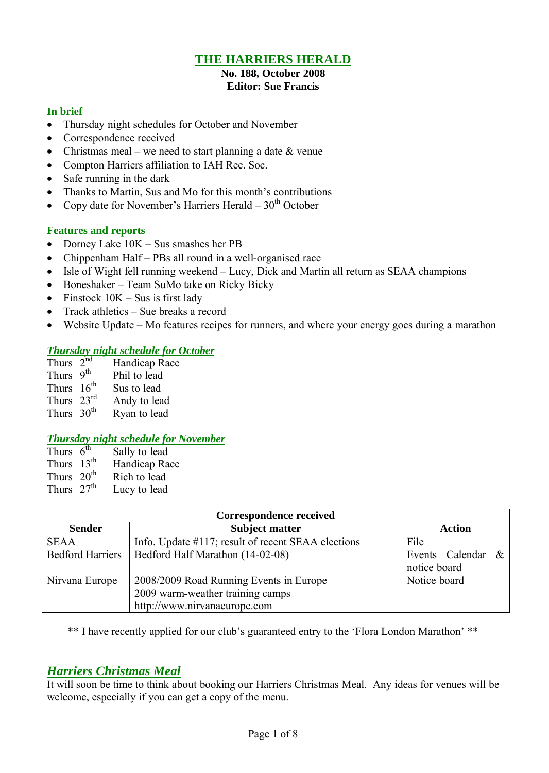# **THE HARRIERS HERALD**

#### **No. 188, October 2008 Editor: Sue Francis**

### **In brief**

- Thursday night schedules for October and November
- Correspondence received
- Christmas meal we need to start planning a date  $\&$  venue
- Compton Harriers affiliation to IAH Rec. Soc.
- Safe running in the dark
- Thanks to Martin, Sus and Mo for this month's contributions
- Copy date for November's Harriers Herald  $30<sup>th</sup>$  October

### **Features and reports**

- Dorney Lake  $10K Sus$  smashes her PB
- Chippenham Half PBs all round in a well-organised race
- Isle of Wight fell running weekend Lucy, Dick and Martin all return as SEAA champions
- Boneshaker Team SuMo take on Ricky Bicky
- Finstock  $10K Sus$  is first lady
- Track athletics Sue breaks a record
- Website Update Mo features recipes for runners, and where your energy goes during a marathon

## *Thursday night schedule for October*

| Thurs $2^{nd}$         | Handicap Race |
|------------------------|---------------|
| Thurs 9 <sup>th</sup>  | Phil to lead  |
| Thurs $16th$           | Sus to lead   |
| Thurs $23^{\text{rd}}$ | Andy to lead  |
| Thurs 30 <sup>th</sup> | Ryan to lead  |
|                        |               |

### *Thursday night schedule for November*

| Thurs $6^{\overline{th}}$ | Sally to lead |
|---------------------------|---------------|
| Thurs $13th$              | Handicap Race |
| Thurs 20 <sup>th</sup>    | Rich to lead  |
| Thurs $27th$              | Lucy to lead  |

| <b>Correspondence received</b> |                                                    |                         |  |
|--------------------------------|----------------------------------------------------|-------------------------|--|
| <b>Sender</b>                  | <b>Subject matter</b>                              | <b>Action</b>           |  |
| <b>SEAA</b>                    | Info. Update #117; result of recent SEAA elections | File                    |  |
| <b>Bedford Harriers</b>        | Bedford Half Marathon (14-02-08)                   | Events Calendar<br>$\&$ |  |
|                                |                                                    | notice board            |  |
| Nirvana Europe                 | 2008/2009 Road Running Events in Europe            | Notice board            |  |
|                                | 2009 warm-weather training camps                   |                         |  |
|                                | http://www.nirvanaeurope.com                       |                         |  |

\*\* I have recently applied for our club's guaranteed entry to the 'Flora London Marathon' \*\*

# *Harriers Christmas Meal*

It will soon be time to think about booking our Harriers Christmas Meal. Any ideas for venues will be welcome, especially if you can get a copy of the menu.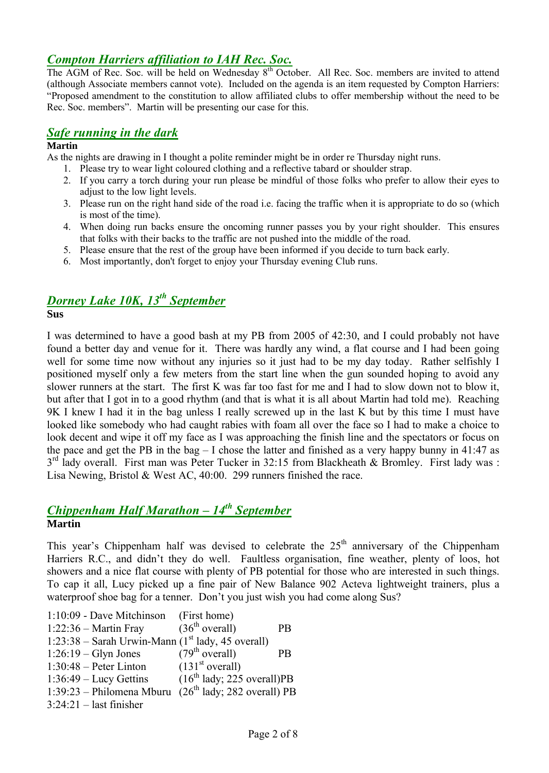# *Compton Harriers affiliation to IAH Rec. Soc.*

The AGM of Rec. Soc. will be held on Wednesday 8<sup>th</sup> October. All Rec. Soc. members are invited to attend (although Associate members cannot vote). Included on the agenda is an item requested by Compton Harriers: "Proposed amendment to the constitution to allow affiliated clubs to offer membership without the need to be Rec. Soc. members". Martin will be presenting our case for this.

# *Safe running in the dark*

### **Martin**

As the nights are drawing in I thought a polite reminder might be in order re Thursday night runs.

- 1. Please try to wear light coloured clothing and a reflective tabard or shoulder strap.
- 2. If you carry a torch during your run please be mindful of those folks who prefer to allow their eyes to adjust to the low light levels.
- 3. Please run on the right hand side of the road i.e. facing the traffic when it is appropriate to do so (which is most of the time).
- 4. When doing run backs ensure the oncoming runner passes you by your right shoulder. This ensures that folks with their backs to the traffic are not pushed into the middle of the road.
- 5. Please ensure that the rest of the group have been informed if you decide to turn back early.
- 6. Most importantly, don't forget to enjoy your Thursday evening Club runs.

# *Dorney Lake 10K, 13th September*

**Sus**

I was determined to have a good bash at my PB from 2005 of 42:30, and I could probably not have found a better day and venue for it. There was hardly any wind, a flat course and I had been going well for some time now without any injuries so it just had to be my day today. Rather selfishly I positioned myself only a few meters from the start line when the gun sounded hoping to avoid any slower runners at the start. The first K was far too fast for me and I had to slow down not to blow it, but after that I got in to a good rhythm (and that is what it is all about Martin had told me). Reaching 9K I knew I had it in the bag unless I really screwed up in the last K but by this time I must have looked like somebody who had caught rabies with foam all over the face so I had to make a choice to look decent and wipe it off my face as I was approaching the finish line and the spectators or focus on the pace and get the PB in the bag – I chose the latter and finished as a very happy bunny in 41:47 as 3<sup>rd</sup> lady overall. First man was Peter Tucker in 32:15 from Blackheath & Bromley. First lady was : Lisa Newing, Bristol & West AC, 40:00. 299 runners finished the race.

### *Chippenham Half Marathon – 14th September* **Martin**

This year's Chippenham half was devised to celebrate the  $25<sup>th</sup>$  anniversary of the Chippenham Harriers R.C., and didn't they do well. Faultless organisation, fine weather, plenty of loos, hot showers and a nice flat course with plenty of PB potential for those who are interested in such things. To cap it all, Lucy picked up a fine pair of New Balance 902 Acteva lightweight trainers, plus a waterproof shoe bag for a tenner. Don't you just wish you had come along Sus?

| 1:10:09 - Dave Mitchinson                                  | (First home)                 |           |
|------------------------------------------------------------|------------------------------|-----------|
| $1:22:36$ – Martin Fray                                    | (36 <sup>th</sup> overall)   | <b>PB</b> |
| 1:23:38 – Sarah Urwin-Mann $(1st$ lady, 45 overall)        |                              |           |
| $1:26:19$ – Glyn Jones                                     | (79 <sup>th</sup> overall)   | <b>PB</b> |
| $1:30:48$ – Peter Linton                                   | (131 <sup>st</sup> overall)  |           |
| $1:36:49$ – Lucy Gettins                                   | $(16th$ lady; 225 overall)PB |           |
| 1:39:23 – Philomena Mburu $(26^{th}$ lady; 282 overall) PB |                              |           |
| $3:24:21$ – last finisher                                  |                              |           |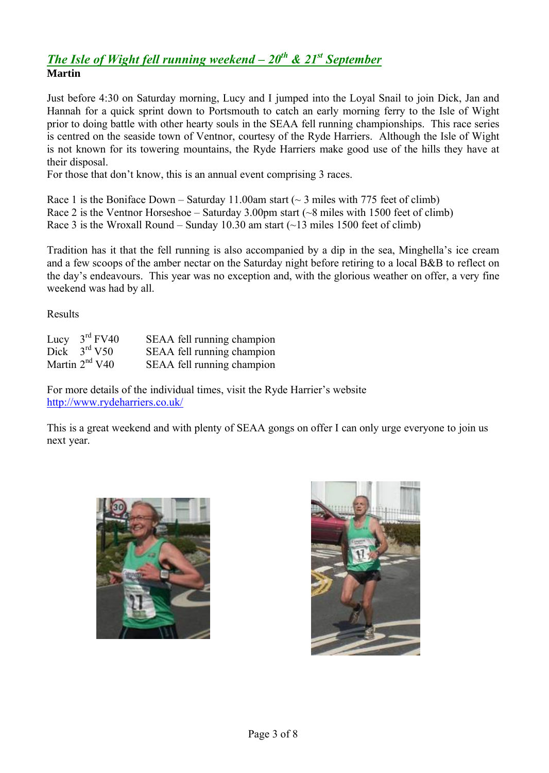# *The Isle of Wight fell running weekend – 20th & 21st September*  **Martin**

Just before 4:30 on Saturday morning, Lucy and I jumped into the Loyal Snail to join Dick, Jan and Hannah for a quick sprint down to Portsmouth to catch an early morning ferry to the Isle of Wight prior to doing battle with other hearty souls in the SEAA fell running championships. This race series is centred on the seaside town of Ventnor, courtesy of the Ryde Harriers. Although the Isle of Wight is not known for its towering mountains, the Ryde Harriers make good use of the hills they have at their disposal.

For those that don't know, this is an annual event comprising 3 races.

Race 1 is the Boniface Down – Saturday 11.00am start ( $\sim$  3 miles with 775 feet of climb) Race 2 is the Ventnor Horseshoe – Saturday 3.00pm start  $({\sim}8$  miles with 1500 feet of climb) Race 3 is the Wroxall Round – Sunday 10.30 am start  $(\sim 13 \text{ miles } 1500 \text{ feet of climb})$ 

Tradition has it that the fell running is also accompanied by a dip in the sea, Minghella's ice cream and a few scoops of the amber nectar on the Saturday night before retiring to a local B&B to reflect on the day's endeavours. This year was no exception and, with the glorious weather on offer, a very fine weekend was had by all.

Results

| Lucy $3rd$ FV40  | SEAA fell running champion |
|------------------|----------------------------|
| Dick $3rd V50$   | SEAA fell running champion |
| Martin $2nd$ V40 | SEAA fell running champion |

For more details of the individual times, visit the Ryde Harrier's website http://www.rydeharriers.co.uk/

This is a great weekend and with plenty of SEAA gongs on offer I can only urge everyone to join us next year.



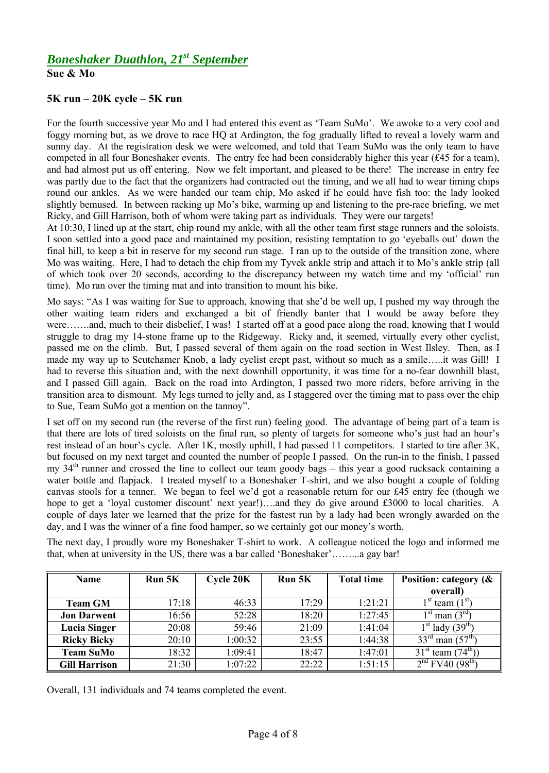**Sue & Mo**

### **5K run – 20K cycle – 5K run**

For the fourth successive year Mo and I had entered this event as 'Team SuMo'. We awoke to a very cool and foggy morning but, as we drove to race HQ at Ardington, the fog gradually lifted to reveal a lovely warm and sunny day. At the registration desk we were welcomed, and told that Team SuMo was the only team to have competed in all four Boneshaker events. The entry fee had been considerably higher this year (£45 for a team), and had almost put us off entering. Now we felt important, and pleased to be there! The increase in entry fee was partly due to the fact that the organizers had contracted out the timing, and we all had to wear timing chips round our ankles. As we were handed our team chip, Mo asked if he could have fish too: the lady looked slightly bemused. In between racking up Mo's bike, warming up and listening to the pre-race briefing, we met Ricky, and Gill Harrison, both of whom were taking part as individuals. They were our targets!

At 10:30, I lined up at the start, chip round my ankle, with all the other team first stage runners and the soloists. I soon settled into a good pace and maintained my position, resisting temptation to go 'eyeballs out' down the final hill, to keep a bit in reserve for my second run stage. I ran up to the outside of the transition zone, where Mo was waiting. Here, I had to detach the chip from my Tyvek ankle strip and attach it to Mo's ankle strip (all of which took over 20 seconds, according to the discrepancy between my watch time and my 'official' run time). Mo ran over the timing mat and into transition to mount his bike.

Mo says: "As I was waiting for Sue to approach, knowing that she'd be well up, I pushed my way through the other waiting team riders and exchanged a bit of friendly banter that I would be away before they were…….and, much to their disbelief, I was! I started off at a good pace along the road, knowing that I would struggle to drag my 14-stone frame up to the Ridgeway. Ricky and, it seemed, virtually every other cyclist, passed me on the climb. But, I passed several of them again on the road section in West Ilsley. Then, as I made my way up to Scutchamer Knob, a lady cyclist crept past, without so much as a smile…..it was Gill! I had to reverse this situation and, with the next downhill opportunity, it was time for a no-fear downhill blast, and I passed Gill again. Back on the road into Ardington, I passed two more riders, before arriving in the transition area to dismount. My legs turned to jelly and, as I staggered over the timing mat to pass over the chip to Sue, Team SuMo got a mention on the tannoy".

I set off on my second run (the reverse of the first run) feeling good. The advantage of being part of a team is that there are lots of tired soloists on the final run, so plenty of targets for someone who's just had an hour's rest instead of an hour's cycle. After 1K, mostly uphill, I had passed 11 competitors. I started to tire after 3K, but focused on my next target and counted the number of people I passed. On the run-in to the finish, I passed my 34th runner and crossed the line to collect our team goody bags – this year a good rucksack containing a water bottle and flapjack. I treated myself to a Boneshaker T-shirt, and we also bought a couple of folding canvas stools for a tenner. We began to feel we'd got a reasonable return for our £45 entry fee (though we hope to get a 'loyal customer discount' next year!)....and they do give around £3000 to local charities. A couple of days later we learned that the prize for the fastest run by a lady had been wrongly awarded on the day, and I was the winner of a fine food hamper, so we certainly got our money's worth.

The next day, I proudly wore my Boneshaker T-shirt to work. A colleague noticed the logo and informed me that, when at university in the US, there was a bar called 'Boneshaker'……...a gay bar!

| <b>Name</b>          | <b>Run 5K</b> | <b>Cycle 20K</b> | Run 5K | <b>Total time</b> | Position: category ( $\&$                |
|----------------------|---------------|------------------|--------|-------------------|------------------------------------------|
|                      |               |                  |        |                   | overall)                                 |
| <b>Team GM</b>       | 17:18         | 46:33            | 17:29  | 1:21:21           | $1st$ team $(1st)$                       |
| <b>Jon Darwent</b>   | 16:56         | 52:28            | 18:20  | 1:27:45           | $1st$ man $(3rd)$                        |
| <b>Lucia Singer</b>  | 20:08         | 59:46            | 21:09  | 1:41:04           | $1st$ lady (39 <sup>th)</sup>            |
| <b>Ricky Bicky</b>   | 20:10         | 1:00:32          | 23:55  | 1:44:38           | $33^{\text{rd}}$ man $(57^{\text{th}})$  |
| <b>Team SuMo</b>     | 18:32         | 1:09:41          | 18:47  | 1:47:01           | $31^{\text{st}}$ team $(74^{\text{th}})$ |
| <b>Gill Harrison</b> | 21:30         | 1:07:22          | 22:22  | 1:51:15           | $2nd$ FV40 (98 <sup>th</sup> )           |

Overall, 131 individuals and 74 teams completed the event.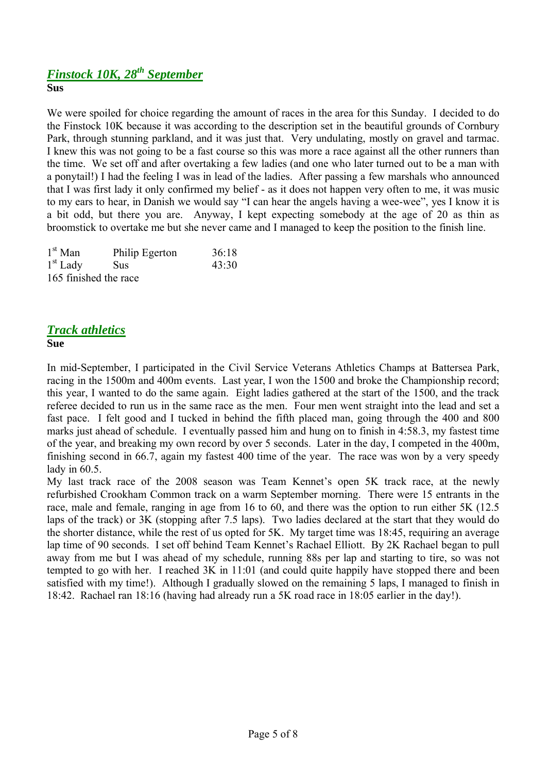# *Finstock 10K, 28th September*

**Sus**

We were spoiled for choice regarding the amount of races in the area for this Sunday. I decided to do the Finstock 10K because it was according to the description set in the beautiful grounds of Cornbury Park, through stunning parkland, and it was just that. Very undulating, mostly on gravel and tarmac. I knew this was not going to be a fast course so this was more a race against all the other runners than the time. We set off and after overtaking a few ladies (and one who later turned out to be a man with a ponytail!) I had the feeling I was in lead of the ladies. After passing a few marshals who announced that I was first lady it only confirmed my belief - as it does not happen very often to me, it was music to my ears to hear, in Danish we would say "I can hear the angels having a wee-wee", yes I know it is a bit odd, but there you are. Anyway, I kept expecting somebody at the age of 20 as thin as broomstick to overtake me but she never came and I managed to keep the position to the finish line.

| $1st$ Man             | Philip Egerton | 36:18 |
|-----------------------|----------------|-------|
| $1st$ Lady            | <b>Sus</b>     | 43:30 |
| 165 finished the race |                |       |

# *Track athletics*

### **Sue**

In mid-September, I participated in the Civil Service Veterans Athletics Champs at Battersea Park, racing in the 1500m and 400m events. Last year, I won the 1500 and broke the Championship record; this year, I wanted to do the same again. Eight ladies gathered at the start of the 1500, and the track referee decided to run us in the same race as the men. Four men went straight into the lead and set a fast pace. I felt good and I tucked in behind the fifth placed man, going through the 400 and 800 marks just ahead of schedule. I eventually passed him and hung on to finish in 4:58.3, my fastest time of the year, and breaking my own record by over 5 seconds. Later in the day, I competed in the 400m, finishing second in 66.7, again my fastest 400 time of the year. The race was won by a very speedy lady in 60.5.

My last track race of the 2008 season was Team Kennet's open 5K track race, at the newly refurbished Crookham Common track on a warm September morning. There were 15 entrants in the race, male and female, ranging in age from 16 to 60, and there was the option to run either 5K (12.5 laps of the track) or 3K (stopping after 7.5 laps). Two ladies declared at the start that they would do the shorter distance, while the rest of us opted for 5K. My target time was 18:45, requiring an average lap time of 90 seconds. I set off behind Team Kennet's Rachael Elliott. By 2K Rachael began to pull away from me but I was ahead of my schedule, running 88s per lap and starting to tire, so was not tempted to go with her. I reached 3K in 11:01 (and could quite happily have stopped there and been satisfied with my time!). Although I gradually slowed on the remaining 5 laps, I managed to finish in 18:42. Rachael ran 18:16 (having had already run a 5K road race in 18:05 earlier in the day!).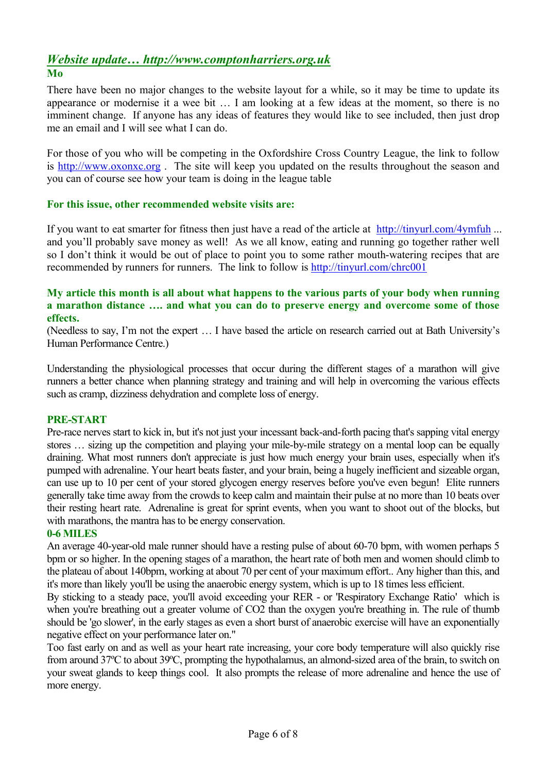## *Website update… http://www.comptonharriers.org.uk* **Mo**

There have been no major changes to the website layout for a while, so it may be time to update its appearance or modernise it a wee bit … I am looking at a few ideas at the moment, so there is no imminent change. If anyone has any ideas of features they would like to see included, then just drop me an email and I will see what I can do.

For those of you who will be competing in the Oxfordshire Cross Country League, the link to follow is http://www.oxonxc.org . The site will keep you updated on the results throughout the season and you can of course see how your team is doing in the league table

### **For this issue, other recommended website visits are:**

If you want to eat smarter for fitness then just have a read of the article at http://tinyurl.com/4ymfuh ... and you'll probably save money as well! As we all know, eating and running go together rather well so I don't think it would be out of place to point you to some rather mouth-watering recipes that are recommended by runners for runners. The link to follow is http://tinyurl.com/chrc001

### **My article this month is all about what happens to the various parts of your body when running a marathon distance …. and what you can do to preserve energy and overcome some of those effects.**

(Needless to say, I'm not the expert … I have based the article on research carried out at Bath University's Human Performance Centre.)

Understanding the physiological processes that occur during the different stages of a marathon will give runners a better chance when planning strategy and training and will help in overcoming the various effects such as cramp, dizziness dehydration and complete loss of energy.

### **PRE-START**

Pre-race nerves start to kick in, but it's not just your incessant back-and-forth pacing that's sapping vital energy stores … sizing up the competition and playing your mile-by-mile strategy on a mental loop can be equally draining. What most runners don't appreciate is just how much energy your brain uses, especially when it's pumped with adrenaline. Your heart beats faster, and your brain, being a hugely inefficient and sizeable organ, can use up to 10 per cent of your stored glycogen energy reserves before you've even begun! Elite runners generally take time away from the crowds to keep calm and maintain their pulse at no more than 10 beats over their resting heart rate. Adrenaline is great for sprint events, when you want to shoot out of the blocks, but with marathons, the mantra has to be energy conservation.

### **0-6 MILES**

An average 40-year-old male runner should have a resting pulse of about 60-70 bpm, with women perhaps 5 bpm or so higher. In the opening stages of a marathon, the heart rate of both men and women should climb to the plateau of about 140bpm, working at about 70 per cent of your maximum effort.. Any higher than this, and it's more than likely you'll be using the anaerobic energy system, which is up to 18 times less efficient.

By sticking to a steady pace, you'll avoid exceeding your RER - or 'Respiratory Exchange Ratio' which is when you're breathing out a greater volume of CO2 than the oxygen you're breathing in. The rule of thumb should be 'go slower', in the early stages as even a short burst of anaerobic exercise will have an exponentially negative effect on your performance later on."

Too fast early on and as well as your heart rate increasing, your core body temperature will also quickly rise from around 37°C to about 39°C, prompting the hypothalamus, an almond-sized area of the brain, to switch on your sweat glands to keep things cool. It also prompts the release of more adrenaline and hence the use of more energy.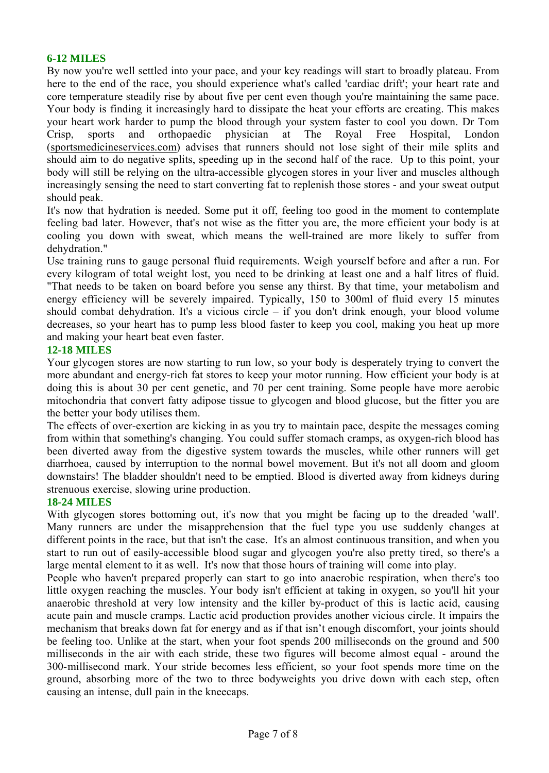### **6-12 MILES**

By now you're well settled into your pace, and your key readings will start to broadly plateau. From here to the end of the race, you should experience what's called 'cardiac drift'; your heart rate and core temperature steadily rise by about five per cent even though you're maintaining the same pace. Your body is finding it increasingly hard to dissipate the heat your efforts are creating. This makes your heart work harder to pump the blood through your system faster to cool you down. Dr Tom Crisp, sports and orthopaedic physician at The Royal Free Hospital, London (sportsmedicineservices.com) advises that runners should not lose sight of their mile splits and should aim to do negative splits, speeding up in the second half of the race. Up to this point, your body will still be relying on the ultra-accessible glycogen stores in your liver and muscles although increasingly sensing the need to start converting fat to replenish those stores - and your sweat output should peak.

It's now that hydration is needed. Some put it off, feeling too good in the moment to contemplate feeling bad later. However, that's not wise as the fitter you are, the more efficient your body is at cooling you down with sweat, which means the well-trained are more likely to suffer from dehydration."

Use training runs to gauge personal fluid requirements. Weigh yourself before and after a run. For every kilogram of total weight lost, you need to be drinking at least one and a half litres of fluid. "That needs to be taken on board before you sense any thirst. By that time, your metabolism and energy efficiency will be severely impaired. Typically, 150 to 300ml of fluid every 15 minutes should combat dehydration. It's a vicious circle – if you don't drink enough, your blood volume decreases, so your heart has to pump less blood faster to keep you cool, making you heat up more and making your heart beat even faster.

### **12-18 MILES**

Your glycogen stores are now starting to run low, so your body is desperately trying to convert the more abundant and energy-rich fat stores to keep your motor running. How efficient your body is at doing this is about 30 per cent genetic, and 70 per cent training. Some people have more aerobic mitochondria that convert fatty adipose tissue to glycogen and blood glucose, but the fitter you are the better your body utilises them.

The effects of over-exertion are kicking in as you try to maintain pace, despite the messages coming from within that something's changing. You could suffer stomach cramps, as oxygen-rich blood has been diverted away from the digestive system towards the muscles, while other runners will get diarrhoea, caused by interruption to the normal bowel movement. But it's not all doom and gloom downstairs! The bladder shouldn't need to be emptied. Blood is diverted away from kidneys during strenuous exercise, slowing urine production.

### **18-24 MILES**

With glycogen stores bottoming out, it's now that you might be facing up to the dreaded 'wall'. Many runners are under the misapprehension that the fuel type you use suddenly changes at different points in the race, but that isn't the case. It's an almost continuous transition, and when you start to run out of easily-accessible blood sugar and glycogen you're also pretty tired, so there's a large mental element to it as well. It's now that those hours of training will come into play.

People who haven't prepared properly can start to go into anaerobic respiration, when there's too little oxygen reaching the muscles. Your body isn't efficient at taking in oxygen, so you'll hit your anaerobic threshold at very low intensity and the killer by-product of this is lactic acid, causing acute pain and muscle cramps. Lactic acid production provides another vicious circle. It impairs the mechanism that breaks down fat for energy and as if that isn't enough discomfort, your joints should be feeling too. Unlike at the start, when your foot spends 200 milliseconds on the ground and 500 milliseconds in the air with each stride, these two figures will become almost equal - around the 300-millisecond mark. Your stride becomes less efficient, so your foot spends more time on the ground, absorbing more of the two to three bodyweights you drive down with each step, often causing an intense, dull pain in the kneecaps.